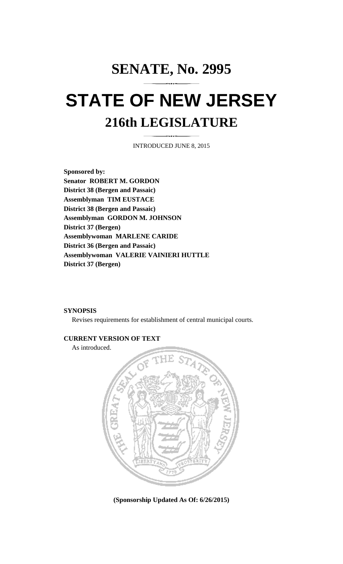# **SENATE, No. 2995 STATE OF NEW JERSEY 216th LEGISLATURE**

INTRODUCED JUNE 8, 2015

**Sponsored by: Senator ROBERT M. GORDON District 38 (Bergen and Passaic) Assemblyman TIM EUSTACE District 38 (Bergen and Passaic) Assemblyman GORDON M. JOHNSON District 37 (Bergen) Assemblywoman MARLENE CARIDE District 36 (Bergen and Passaic) Assemblywoman VALERIE VAINIERI HUTTLE District 37 (Bergen)** 

#### **SYNOPSIS**

Revises requirements for establishment of central municipal courts.

#### **CURRENT VERSION OF TEXT**

As introduced.



**(Sponsorship Updated As Of: 6/26/2015)**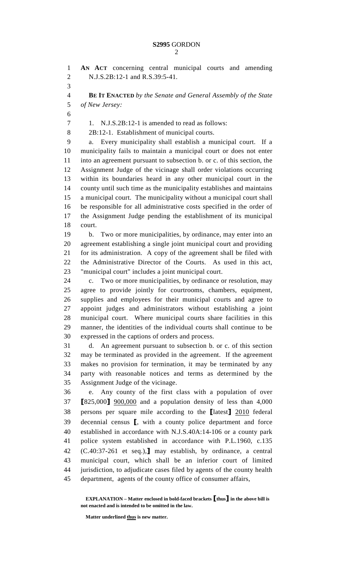1 **AN ACT** concerning central municipal courts and amending 2 N.J.S.2B:12-1 and R.S.39:5-41. 3 4 **BE IT ENACTED** *by the Senate and General Assembly of the State*  5 *of New Jersey:* 6 7 1. N.J.S.2B:12-1 is amended to read as follows: 8 2B:12-1. Establishment of municipal courts. 9 a. Every municipality shall establish a municipal court. If a 10 municipality fails to maintain a municipal court or does not enter 11 into an agreement pursuant to subsection b. or c. of this section, the 12 Assignment Judge of the vicinage shall order violations occurring 13 within its boundaries heard in any other municipal court in the 14 county until such time as the municipality establishes and maintains 15 a municipal court. The municipality without a municipal court shall 16 be responsible for all administrative costs specified in the order of 17 the Assignment Judge pending the establishment of its municipal 18 court. 19 b. Two or more municipalities, by ordinance, may enter into an 20 agreement establishing a single joint municipal court and providing 21 for its administration. A copy of the agreement shall be filed with 22 the Administrative Director of the Courts. As used in this act, 23 "municipal court" includes a joint municipal court.

24 c. Two or more municipalities, by ordinance or resolution, may 25 agree to provide jointly for courtrooms, chambers, equipment, 26 supplies and employees for their municipal courts and agree to 27 appoint judges and administrators without establishing a joint 28 municipal court. Where municipal courts share facilities in this 29 manner, the identities of the individual courts shall continue to be 30 expressed in the captions of orders and process.

31 d. An agreement pursuant to subsection b. or c. of this section 32 may be terminated as provided in the agreement. If the agreement 33 makes no provision for termination, it may be terminated by any 34 party with reasonable notices and terms as determined by the 35 Assignment Judge of the vicinage.

36 e. Any county of the first class with a population of over 37 [825,000] 900,000 and a population density of less than 4,000 38 persons per square mile according to the [latest] 2010 federal 39 decennial census [, with a county police department and force 40 established in accordance with N.J.S.40A:14-106 or a county park 41 police system established in accordance with P.L.1960, c.135 42 (C.40:37-261 et seq.),] may establish, by ordinance, a central 43 municipal court, which shall be an inferior court of limited 44 jurisdiction, to adjudicate cases filed by agents of the county health 45 department, agents of the county office of consumer affairs,

 **EXPLANATION – Matter enclosed in bold-faced brackets** [**thus**] **in the above bill is not enacted and is intended to be omitted in the law.** 

 **Matter underlined thus is new matter.**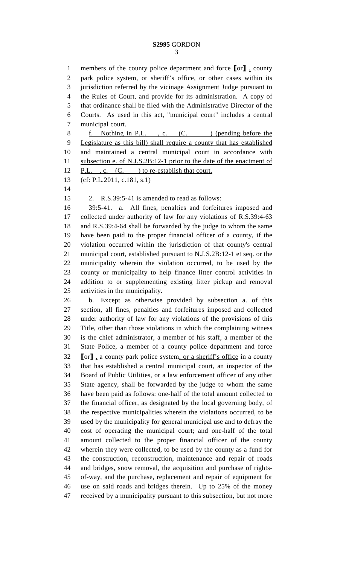## **S2995** GORDON

3

1 members of the county police department and force [or] , county 2 park police system, or sheriff's office, or other cases within its 3 jurisdiction referred by the vicinage Assignment Judge pursuant to 4 the Rules of Court, and provide for its administration. A copy of 5 that ordinance shall be filed with the Administrative Director of the 6 Courts. As used in this act, "municipal court" includes a central 7 municipal court. 8 f. Nothing in P.L., c. (C. ) (pending before the 9 Legislature as this bill) shall require a county that has established 10 and maintained a central municipal court in accordance with 11 subsection e. of N.J.S.2B:12-1 prior to the date of the enactment of 12 P.L., c. (C.) to re-establish that court. 13 (cf: P.L.2011, c.181, s.1) 14 15 2. R.S.39:5-41 is amended to read as follows: 16 39:5-41. a. All fines, penalties and forfeitures imposed and 17 collected under authority of law for any violations of R.S.39:4-63 18 and R.S.39:4-64 shall be forwarded by the judge to whom the same 19 have been paid to the proper financial officer of a county, if the 20 violation occurred within the jurisdiction of that county's central 21 municipal court, established pursuant to N.J.S.2B:12-1 et seq. or the 22 municipality wherein the violation occurred, to be used by the 23 county or municipality to help finance litter control activities in 24 addition to or supplementing existing litter pickup and removal 25 activities in the municipality. 26 b. Except as otherwise provided by subsection a. of this 27 section, all fines, penalties and forfeitures imposed and collected 28 under authority of law for any violations of the provisions of this 29 Title, other than those violations in which the complaining witness 30 is the chief administrator, a member of his staff, a member of the 31 State Police, a member of a county police department and force 32 [or] , a county park police system, or a sheriff's office in a county 33 that has established a central municipal court, an inspector of the 34 Board of Public Utilities, or a law enforcement officer of any other 35 State agency, shall be forwarded by the judge to whom the same 36 have been paid as follows: one-half of the total amount collected to 37 the financial officer, as designated by the local governing body, of 38 the respective municipalities wherein the violations occurred, to be 39 used by the municipality for general municipal use and to defray the 40 cost of operating the municipal court; and one-half of the total 41 amount collected to the proper financial officer of the county 42 wherein they were collected, to be used by the county as a fund for 43 the construction, reconstruction, maintenance and repair of roads 44 and bridges, snow removal, the acquisition and purchase of rights-45 of-way, and the purchase, replacement and repair of equipment for 46 use on said roads and bridges therein. Up to 25% of the money 47 received by a municipality pursuant to this subsection, but not more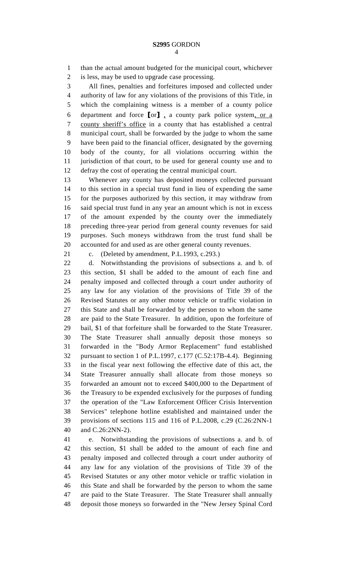1 than the actual amount budgeted for the municipal court, whichever

2 is less, may be used to upgrade case processing.

3 All fines, penalties and forfeitures imposed and collected under 4 authority of law for any violations of the provisions of this Title, in 5 which the complaining witness is a member of a county police 6 department and force [or] , a county park police system, or a 7 county sheriff's office in a county that has established a central 8 municipal court, shall be forwarded by the judge to whom the same 9 have been paid to the financial officer, designated by the governing 10 body of the county, for all violations occurring within the 11 jurisdiction of that court, to be used for general county use and to 12 defray the cost of operating the central municipal court.

13 Whenever any county has deposited moneys collected pursuant 14 to this section in a special trust fund in lieu of expending the same 15 for the purposes authorized by this section, it may withdraw from 16 said special trust fund in any year an amount which is not in excess 17 of the amount expended by the county over the immediately 18 preceding three-year period from general county revenues for said 19 purposes. Such moneys withdrawn from the trust fund shall be 20 accounted for and used as are other general county revenues.

21 c. (Deleted by amendment, P.L.1993, c.293.)

22 d. Notwithstanding the provisions of subsections a. and b. of 23 this section, \$1 shall be added to the amount of each fine and 24 penalty imposed and collected through a court under authority of 25 any law for any violation of the provisions of Title 39 of the 26 Revised Statutes or any other motor vehicle or traffic violation in 27 this State and shall be forwarded by the person to whom the same 28 are paid to the State Treasurer. In addition, upon the forfeiture of 29 bail, \$1 of that forfeiture shall be forwarded to the State Treasurer. 30 The State Treasurer shall annually deposit those moneys so 31 forwarded in the "Body Armor Replacement" fund established 32 pursuant to section 1 of P.L.1997, c.177 (C.52:17B-4.4). Beginning 33 in the fiscal year next following the effective date of this act, the 34 State Treasurer annually shall allocate from those moneys so 35 forwarded an amount not to exceed \$400,000 to the Department of 36 the Treasury to be expended exclusively for the purposes of funding 37 the operation of the "Law Enforcement Officer Crisis Intervention 38 Services" telephone hotline established and maintained under the 39 provisions of sections 115 and 116 of P.L.2008, c.29 (C.26:2NN-1 40 and C.26:2NN-2).

41 e. Notwithstanding the provisions of subsections a. and b. of 42 this section, \$1 shall be added to the amount of each fine and 43 penalty imposed and collected through a court under authority of 44 any law for any violation of the provisions of Title 39 of the 45 Revised Statutes or any other motor vehicle or traffic violation in 46 this State and shall be forwarded by the person to whom the same 47 are paid to the State Treasurer. The State Treasurer shall annually 48 deposit those moneys so forwarded in the "New Jersey Spinal Cord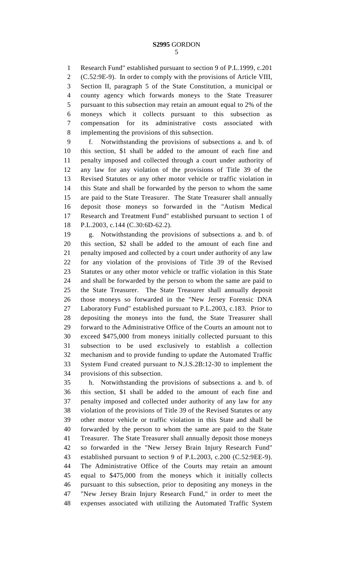1 Research Fund" established pursuant to section 9 of P.L.1999, c.201 2 (C.52:9E-9). In order to comply with the provisions of Article VIII, 3 Section II, paragraph 5 of the State Constitution, a municipal or 4 county agency which forwards moneys to the State Treasurer 5 pursuant to this subsection may retain an amount equal to 2% of the 6 moneys which it collects pursuant to this subsection as 7 compensation for its administrative costs associated with 8 implementing the provisions of this subsection.

9 f. Notwithstanding the provisions of subsections a. and b. of 10 this section, \$1 shall be added to the amount of each fine and 11 penalty imposed and collected through a court under authority of 12 any law for any violation of the provisions of Title 39 of the 13 Revised Statutes or any other motor vehicle or traffic violation in 14 this State and shall be forwarded by the person to whom the same 15 are paid to the State Treasurer. The State Treasurer shall annually 16 deposit those moneys so forwarded in the "Autism Medical 17 Research and Treatment Fund" established pursuant to section 1 of 18 P.L.2003, c.144 (C.30:6D-62.2).

19 g. Notwithstanding the provisions of subsections a. and b. of 20 this section, \$2 shall be added to the amount of each fine and 21 penalty imposed and collected by a court under authority of any law 22 for any violation of the provisions of Title 39 of the Revised 23 Statutes or any other motor vehicle or traffic violation in this State 24 and shall be forwarded by the person to whom the same are paid to 25 the State Treasurer. The State Treasurer shall annually deposit 26 those moneys so forwarded in the "New Jersey Forensic DNA 27 Laboratory Fund" established pursuant to P.L.2003, c.183. Prior to 28 depositing the moneys into the fund, the State Treasurer shall 29 forward to the Administrative Office of the Courts an amount not to 30 exceed \$475,000 from moneys initially collected pursuant to this 31 subsection to be used exclusively to establish a collection 32 mechanism and to provide funding to update the Automated Traffic 33 System Fund created pursuant to N.J.S.2B:12-30 to implement the 34 provisions of this subsection.

35 h. Notwithstanding the provisions of subsections a. and b. of 36 this section, \$1 shall be added to the amount of each fine and 37 penalty imposed and collected under authority of any law for any 38 violation of the provisions of Title 39 of the Revised Statutes or any 39 other motor vehicle or traffic violation in this State and shall be 40 forwarded by the person to whom the same are paid to the State 41 Treasurer. The State Treasurer shall annually deposit those moneys 42 so forwarded in the "New Jersey Brain Injury Research Fund" 43 established pursuant to section 9 of P.L.2003, c.200 (C.52:9EE-9). 44 The Administrative Office of the Courts may retain an amount 45 equal to \$475,000 from the moneys which it initially collects 46 pursuant to this subsection, prior to depositing any moneys in the 47 "New Jersey Brain Injury Research Fund," in order to meet the 48 expenses associated with utilizing the Automated Traffic System